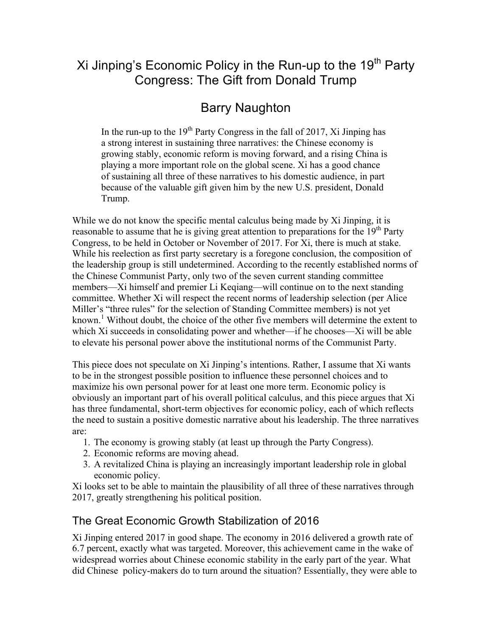# Xi Jinping's Economic Policy in the Run-up to the  $19<sup>th</sup>$  Party Congress: The Gift from Donald Trump

# Barry Naughton

In the run-up to the  $19<sup>th</sup>$  Party Congress in the fall of 2017, Xi Jinping has a strong interest in sustaining three narratives: the Chinese economy is growing stably, economic reform is moving forward, and a rising China is playing a more important role on the global scene. Xi has a good chance of sustaining all three of these narratives to his domestic audience, in part because of the valuable gift given him by the new U.S. president, Donald Trump.

While we do not know the specific mental calculus being made by Xi Jinping, it is reasonable to assume that he is giving great attention to preparations for the  $19<sup>th</sup>$  Party Congress, to be held in October or November of 2017. For Xi, there is much at stake. While his reelection as first party secretary is a foregone conclusion, the composition of the leadership group is still undetermined. According to the recently established norms of the Chinese Communist Party, only two of the seven current standing committee members—Xi himself and premier Li Keqiang—will continue on to the next standing committee. Whether Xi will respect the recent norms of leadership selection (per Alice Miller's "three rules" for the selection of Standing Committee members) is not yet known.<sup>1</sup> Without doubt, the choice of the other five members will determine the extent to which Xi succeeds in consolidating power and whether—if he chooses—Xi will be able to elevate his personal power above the institutional norms of the Communist Party.

This piece does not speculate on Xi Jinping's intentions. Rather, I assume that Xi wants to be in the strongest possible position to influence these personnel choices and to maximize his own personal power for at least one more term. Economic policy is obviously an important part of his overall political calculus, and this piece argues that Xi has three fundamental, short-term objectives for economic policy, each of which reflects the need to sustain a positive domestic narrative about his leadership. The three narratives are:

- 1. The economy is growing stably (at least up through the Party Congress).
- 2. Economic reforms are moving ahead.
- 3. A revitalized China is playing an increasingly important leadership role in global economic policy.

Xi looks set to be able to maintain the plausibility of all three of these narratives through 2017, greatly strengthening his political position.

# The Great Economic Growth Stabilization of 2016

Xi Jinping entered 2017 in good shape. The economy in 2016 delivered a growth rate of 6.7 percent, exactly what was targeted. Moreover, this achievement came in the wake of widespread worries about Chinese economic stability in the early part of the year. What did Chinese policy-makers do to turn around the situation? Essentially, they were able to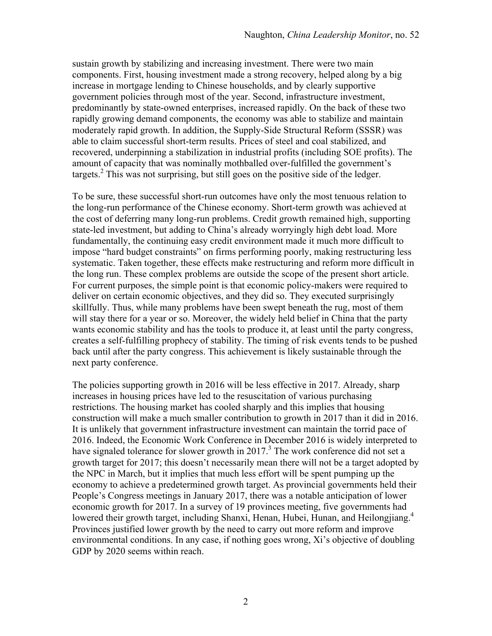sustain growth by stabilizing and increasing investment. There were two main components. First, housing investment made a strong recovery, helped along by a big increase in mortgage lending to Chinese households, and by clearly supportive government policies through most of the year. Second, infrastructure investment, predominantly by state-owned enterprises, increased rapidly. On the back of these two rapidly growing demand components, the economy was able to stabilize and maintain moderately rapid growth. In addition, the Supply-Side Structural Reform (SSSR) was able to claim successful short-term results. Prices of steel and coal stabilized, and recovered, underpinning a stabilization in industrial profits (including SOE profits). The amount of capacity that was nominally mothballed over-fulfilled the government's targets.<sup>2</sup> This was not surprising, but still goes on the positive side of the ledger.

To be sure, these successful short-run outcomes have only the most tenuous relation to the long-run performance of the Chinese economy. Short-term growth was achieved at the cost of deferring many long-run problems. Credit growth remained high, supporting state-led investment, but adding to China's already worryingly high debt load. More fundamentally, the continuing easy credit environment made it much more difficult to impose "hard budget constraints" on firms performing poorly, making restructuring less systematic. Taken together, these effects make restructuring and reform more difficult in the long run. These complex problems are outside the scope of the present short article. For current purposes, the simple point is that economic policy-makers were required to deliver on certain economic objectives, and they did so. They executed surprisingly skillfully. Thus, while many problems have been swept beneath the rug, most of them will stay there for a year or so. Moreover, the widely held belief in China that the party wants economic stability and has the tools to produce it, at least until the party congress, creates a self-fulfilling prophecy of stability. The timing of risk events tends to be pushed back until after the party congress. This achievement is likely sustainable through the next party conference.

The policies supporting growth in 2016 will be less effective in 2017. Already, sharp increases in housing prices have led to the resuscitation of various purchasing restrictions. The housing market has cooled sharply and this implies that housing construction will make a much smaller contribution to growth in 2017 than it did in 2016. It is unlikely that government infrastructure investment can maintain the torrid pace of 2016. Indeed, the Economic Work Conference in December 2016 is widely interpreted to have signaled tolerance for slower growth in  $2017<sup>3</sup>$ . The work conference did not set a growth target for 2017; this doesn't necessarily mean there will not be a target adopted by the NPC in March, but it implies that much less effort will be spent pumping up the economy to achieve a predetermined growth target. As provincial governments held their People's Congress meetings in January 2017, there was a notable anticipation of lower economic growth for 2017. In a survey of 19 provinces meeting, five governments had lowered their growth target, including Shanxi, Henan, Hubei, Hunan, and Heilongjiang.<sup>4</sup> Provinces justified lower growth by the need to carry out more reform and improve environmental conditions. In any case, if nothing goes wrong, Xi's objective of doubling GDP by 2020 seems within reach.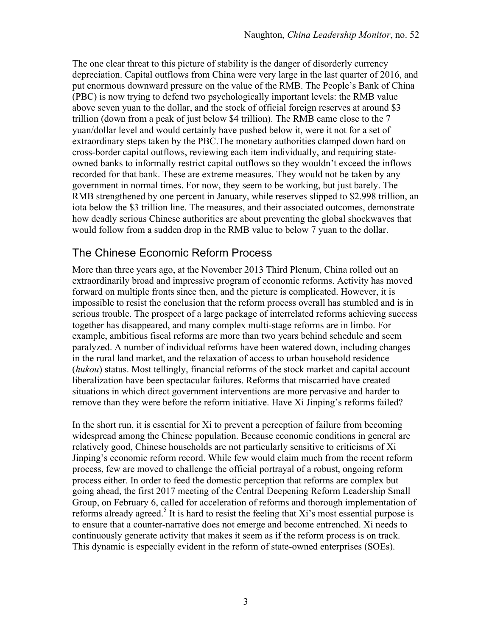The one clear threat to this picture of stability is the danger of disorderly currency depreciation. Capital outflows from China were very large in the last quarter of 2016, and put enormous downward pressure on the value of the RMB. The People's Bank of China (PBC) is now trying to defend two psychologically important levels: the RMB value above seven yuan to the dollar, and the stock of official foreign reserves at around \$3 trillion (down from a peak of just below \$4 trillion). The RMB came close to the 7 yuan/dollar level and would certainly have pushed below it, were it not for a set of extraordinary steps taken by the PBC.The monetary authorities clamped down hard on cross-border capital outflows, reviewing each item individually, and requiring stateowned banks to informally restrict capital outflows so they wouldn't exceed the inflows recorded for that bank. These are extreme measures. They would not be taken by any government in normal times. For now, they seem to be working, but just barely. The RMB strengthened by one percent in January, while reserves slipped to \$2.998 trillion, an iota below the \$3 trillion line. The measures, and their associated outcomes, demonstrate how deadly serious Chinese authorities are about preventing the global shockwaves that would follow from a sudden drop in the RMB value to below 7 yuan to the dollar.

#### The Chinese Economic Reform Process

More than three years ago, at the November 2013 Third Plenum, China rolled out an extraordinarily broad and impressive program of economic reforms. Activity has moved forward on multiple fronts since then, and the picture is complicated. However, it is impossible to resist the conclusion that the reform process overall has stumbled and is in serious trouble. The prospect of a large package of interrelated reforms achieving success together has disappeared, and many complex multi-stage reforms are in limbo. For example, ambitious fiscal reforms are more than two years behind schedule and seem paralyzed. A number of individual reforms have been watered down, including changes in the rural land market, and the relaxation of access to urban household residence (*hukou*) status. Most tellingly, financial reforms of the stock market and capital account liberalization have been spectacular failures. Reforms that miscarried have created situations in which direct government interventions are more pervasive and harder to remove than they were before the reform initiative. Have Xi Jinping's reforms failed?

In the short run, it is essential for Xi to prevent a perception of failure from becoming widespread among the Chinese population. Because economic conditions in general are relatively good, Chinese households are not particularly sensitive to criticisms of Xi Jinping's economic reform record. While few would claim much from the recent reform process, few are moved to challenge the official portrayal of a robust, ongoing reform process either. In order to feed the domestic perception that reforms are complex but going ahead, the first 2017 meeting of the Central Deepening Reform Leadership Small Group, on February 6, called for acceleration of reforms and thorough implementation of reforms already agreed.<sup>5</sup> It is hard to resist the feeling that  $Xi'$ 's most essential purpose is to ensure that a counter-narrative does not emerge and become entrenched. Xi needs to continuously generate activity that makes it seem as if the reform process is on track. This dynamic is especially evident in the reform of state-owned enterprises (SOEs).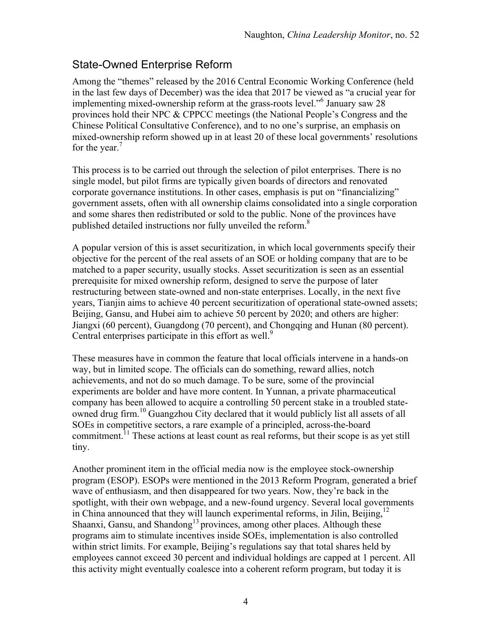### State-Owned Enterprise Reform

Among the "themes" released by the 2016 Central Economic Working Conference (held in the last few days of December) was the idea that 2017 be viewed as "a crucial year for implementing mixed-ownership reform at the grass-roots level."6 January saw 28 provinces hold their NPC & CPPCC meetings (the National People's Congress and the Chinese Political Consultative Conference), and to no one's surprise, an emphasis on mixed-ownership reform showed up in at least 20 of these local governments' resolutions for the year. $<sup>7</sup>$ </sup>

This process is to be carried out through the selection of pilot enterprises. There is no single model, but pilot firms are typically given boards of directors and renovated corporate governance institutions. In other cases, emphasis is put on "financializing" government assets, often with all ownership claims consolidated into a single corporation and some shares then redistributed or sold to the public. None of the provinces have published detailed instructions nor fully unveiled the reform.<sup>8</sup>

A popular version of this is asset securitization, in which local governments specify their objective for the percent of the real assets of an SOE or holding company that are to be matched to a paper security, usually stocks. Asset securitization is seen as an essential prerequisite for mixed ownership reform, designed to serve the purpose of later restructuring between state-owned and non-state enterprises. Locally, in the next five years, Tianjin aims to achieve 40 percent securitization of operational state-owned assets; Beijing, Gansu, and Hubei aim to achieve 50 percent by 2020; and others are higher: Jiangxi (60 percent), Guangdong (70 percent), and Chongqing and Hunan (80 percent). Central enterprises participate in this effort as well.<sup>9</sup>

These measures have in common the feature that local officials intervene in a hands-on way, but in limited scope. The officials can do something, reward allies, notch achievements, and not do so much damage. To be sure, some of the provincial experiments are bolder and have more content. In Yunnan, a private pharmaceutical company has been allowed to acquire a controlling 50 percent stake in a troubled stateowned drug firm.<sup>10</sup> Guangzhou City declared that it would publicly list all assets of all SOEs in competitive sectors, a rare example of a principled, across-the-board commitment.<sup>11</sup> These actions at least count as real reforms, but their scope is as yet still tiny.

Another prominent item in the official media now is the employee stock-ownership program (ESOP). ESOPs were mentioned in the 2013 Reform Program, generated a brief wave of enthusiasm, and then disappeared for two years. Now, they're back in the spotlight, with their own webpage, and a new-found urgency. Several local governments in China announced that they will launch experimental reforms, in Jilin, Beijing,<sup>12</sup> Shaanxi, Gansu, and Shandong<sup>13</sup> provinces, among other places. Although these programs aim to stimulate incentives inside SOEs, implementation is also controlled within strict limits. For example, Beijing's regulations say that total shares held by employees cannot exceed 30 percent and individual holdings are capped at 1 percent. All this activity might eventually coalesce into a coherent reform program, but today it is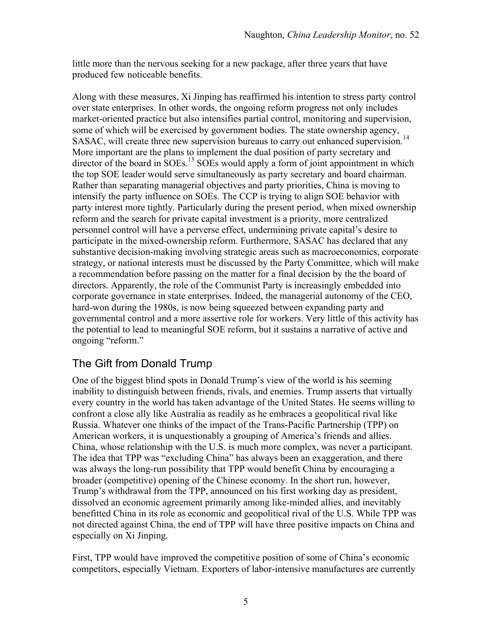little more than the nervous seeking for a new package, after three years that have produced few noticeable benefits.

Along with these measures, Xi Jinping has reaffirmed his intention to stress party control over state enterprises. In other words, the ongoing reform progress not only includes market-oriented practice but also intensifies partial control, monitoring and supervision, some of which will be exercised by government bodies. The state ownership agency, SASAC, will create three new supervision bureaus to carry out enhanced supervision.<sup>14</sup> More important are the plans to implement the dual position of party secretary and director of the board in SOEs.<sup>15</sup> SOEs would apply a form of joint appointment in which the top SOE leader would serve simultaneously as party secretary and board chairman. Rather than separating managerial objectives and party priorities, China is moving to intensify the party influence on SOEs. The CCP is trying to align SOE behavior with party interest more tightly. Particularly during the present period, when mixed ownership reform and the search for private capital investment is a priority, more centralized personnel control will have a perverse effect, undermining private capital's desire to participate in the mixed-ownership reform. Furthermore, SASAC has declared that any substantive decision-making involving strategic areas such as macroeconomics, corporate strategy, or national interests must be discussed by the Party Committee, which will make a recommendation before passing on the matter for a final decision by the the board of directors. Apparently, the role of the Communist Party is increasingly embedded into corporate governance in state enterprises. Indeed, the managerial autonomy of the CEO, hard-won during the 1980s, is now being squeezed between expanding party and governmental control and a more assertive role for workers. Very little of this activity has the potential to lead to meaningful SOE reform, but it sustains a narrative of active and ongoing "reform."

# The Gift from Donald Trump

One of the biggest blind spots in Donald Trump's view of the world is his seeming inability to distinguish between friends, rivals, and enemies. Trump asserts that virtually every country in the world has taken advantage of the United States. He seems willing to confront a close ally like Australia as readily as he embraces a geopolitical rival like Russia. Whatever one thinks of the impact of the Trans-Pacific Partnership (TPP) on American workers, it is unquestionably a grouping of America's friends and allies. China, whose relationship with the U.S. is much more complex, was never a participant. The idea that TPP was "excluding China" has always been an exaggeration, and there was always the long-run possibility that TPP would benefit China by encouraging a broader (competitive) opening of the Chinese economy. In the short run, however, Trump's withdrawal from the TPP, announced on his first working day as president, dissolved an economic agreement primarily among like-minded allies, and inevitably benefitted China in its role as economic and geopolitical rival of the U.S. While TPP was not directed against China, the end of TPP will have three positive impacts on China and especially on Xi Jinping.

First, TPP would have improved the competitive position of some of China's economic competitors, especially Vietnam. Exporters of labor-intensive manufactures are currently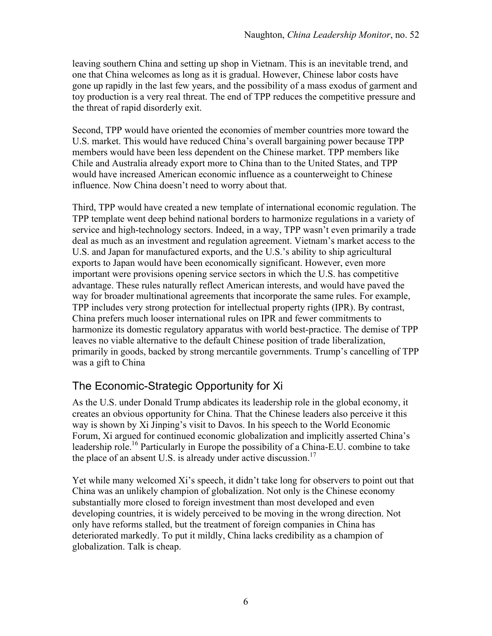leaving southern China and setting up shop in Vietnam. This is an inevitable trend, and one that China welcomes as long as it is gradual. However, Chinese labor costs have gone up rapidly in the last few years, and the possibility of a mass exodus of garment and toy production is a very real threat. The end of TPP reduces the competitive pressure and the threat of rapid disorderly exit.

Second, TPP would have oriented the economies of member countries more toward the U.S. market. This would have reduced China's overall bargaining power because TPP members would have been less dependent on the Chinese market. TPP members like Chile and Australia already export more to China than to the United States, and TPP would have increased American economic influence as a counterweight to Chinese influence. Now China doesn't need to worry about that.

Third, TPP would have created a new template of international economic regulation. The TPP template went deep behind national borders to harmonize regulations in a variety of service and high-technology sectors. Indeed, in a way, TPP wasn't even primarily a trade deal as much as an investment and regulation agreement. Vietnam's market access to the U.S. and Japan for manufactured exports, and the U.S.'s ability to ship agricultural exports to Japan would have been economically significant. However, even more important were provisions opening service sectors in which the U.S. has competitive advantage. These rules naturally reflect American interests, and would have paved the way for broader multinational agreements that incorporate the same rules. For example, TPP includes very strong protection for intellectual property rights (IPR). By contrast, China prefers much looser international rules on IPR and fewer commitments to harmonize its domestic regulatory apparatus with world best-practice. The demise of TPP leaves no viable alternative to the default Chinese position of trade liberalization, primarily in goods, backed by strong mercantile governments. Trump's cancelling of TPP was a gift to China

# The Economic-Strategic Opportunity for Xi

As the U.S. under Donald Trump abdicates its leadership role in the global economy, it creates an obvious opportunity for China. That the Chinese leaders also perceive it this way is shown by Xi Jinping's visit to Davos. In his speech to the World Economic Forum, Xi argued for continued economic globalization and implicitly asserted China's leadership role.<sup>16</sup> Particularly in Europe the possibility of a China-E.U. combine to take the place of an absent U.S. is already under active discussion.<sup>17</sup>

Yet while many welcomed Xi's speech, it didn't take long for observers to point out that China was an unlikely champion of globalization. Not only is the Chinese economy substantially more closed to foreign investment than most developed and even developing countries, it is widely perceived to be moving in the wrong direction. Not only have reforms stalled, but the treatment of foreign companies in China has deteriorated markedly. To put it mildly, China lacks credibility as a champion of globalization. Talk is cheap.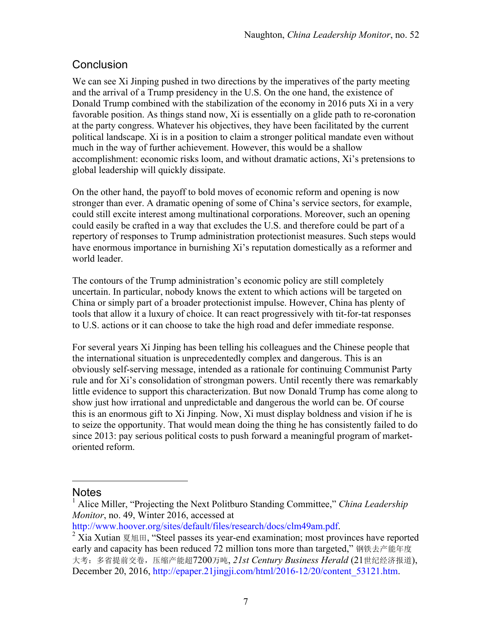# **Conclusion**

We can see Xi Jinping pushed in two directions by the imperatives of the party meeting and the arrival of a Trump presidency in the U.S. On the one hand, the existence of Donald Trump combined with the stabilization of the economy in 2016 puts Xi in a very favorable position. As things stand now, Xi is essentially on a glide path to re-coronation at the party congress. Whatever his objectives, they have been facilitated by the current political landscape. Xi is in a position to claim a stronger political mandate even without much in the way of further achievement. However, this would be a shallow accomplishment: economic risks loom, and without dramatic actions, Xi's pretensions to global leadership will quickly dissipate.

On the other hand, the payoff to bold moves of economic reform and opening is now stronger than ever. A dramatic opening of some of China's service sectors, for example, could still excite interest among multinational corporations. Moreover, such an opening could easily be crafted in a way that excludes the U.S. and therefore could be part of a repertory of responses to Trump administration protectionist measures. Such steps would have enormous importance in burnishing Xi's reputation domestically as a reformer and world leader.

The contours of the Trump administration's economic policy are still completely uncertain. In particular, nobody knows the extent to which actions will be targeted on China or simply part of a broader protectionist impulse. However, China has plenty of tools that allow it a luxury of choice. It can react progressively with tit-for-tat responses to U.S. actions or it can choose to take the high road and defer immediate response.

For several years Xi Jinping has been telling his colleagues and the Chinese people that the international situation is unprecedentedly complex and dangerous. This is an obviously self-serving message, intended as a rationale for continuing Communist Party rule and for Xi's consolidation of strongman powers. Until recently there was remarkably little evidence to support this characterization. But now Donald Trump has come along to show just how irrational and unpredictable and dangerous the world can be. Of course this is an enormous gift to Xi Jinping. Now, Xi must display boldness and vision if he is to seize the opportunity. That would mean doing the thing he has consistently failed to do since 2013: pay serious political costs to push forward a meaningful program of marketoriented reform.

#### Notes

 $\overline{a}$ 

<sup>1</sup> Alice Miller, "Projecting the Next Politburo Standing Committee," *China Leadership Monitor*, no. 49, Winter 2016, accessed at

http://www.hoover.org/sites/default/files/research/docs/clm49am.pdf.<br>
<sup>2</sup> Xia Xutian 夏旭田, "Steel passes its year-end examination; most provinces have reported early and capacity has been reduced 72 million tons more than targeted,"钢铁去产能年度 大考:多省提前交卷,压缩产能超7200万吨, *21st Century Business Herald* (21世纪经济报道), December 20, 2016, http://epaper.21jingji.com/html/2016-12/20/content\_53121.htm.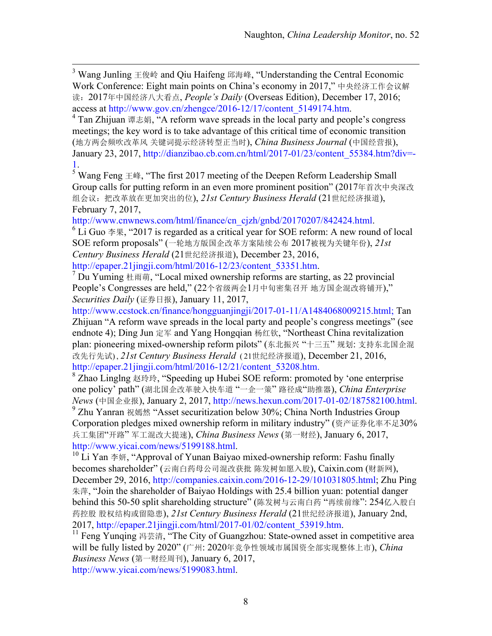<sup>3</sup> Wang Junling  $\pm \circledR \psi$  and Qiu Haifeng  $\circledR \psi$  and  $\circledR$  Understanding the Central Economic Work Conference: Eight main points on China's economy in 2017," 中央经济工作会议解 读:2017年中国经济八大看点, *People's Daily* (Overseas Edition), December 17, 2016;

access at http://www.gov.cn/zhengce/2016-12/17/content\_5149174.htm.<br><sup>4</sup> Tan Zhijuan 谭志娟, "A reform wave spreads in the local party and people's congress meetings; the key word is to take advantage of this critical time of economic transition (地方两会频吹改革风 关键词提示经济转型正当时), *China Business Journal* (中国经营报), January 23, 2017, http://dianzibao.cb.com.cn/html/2017-01/23/content\_55384.htm?div=- 1.

<sup>5</sup> Wang Feng  $\pm$  the first 2017 meeting of the Deepen Reform Leadership Small Group calls for putting reform in an even more prominent position" (2017年首次中央深改 组会议:把改革放在更加突出的位), *21st Century Business Herald* (21世纪经济报道), February 7, 2017,

http://www.cnwnews.com/html/finance/cn\_cjzh/gnbd/20170207/842424.html.<br><sup>6</sup> Li Guo 李果, "2017 is regarded as a critical year for SOE reform: A new round of local SOE reform proposals" (一轮地方版国企改革方案陆续公布 2017被视为关键年份), *21st Century Business Herald* (21世纪经济报道), December 23, 2016,

http://epaper.21jingji.com/html/2016-12/23/content\_53351.htm.<br><sup>7</sup> Du Yuming 杜雨萌, "Local mixed ownership reforms are starting, as 22 provincial People's Congresses are held," (22个省级两会1月中旬密集召开 地方国企混改将铺开)," *Securities Daily* (证券日报), January 11, 2017,

http://www.ccstock.cn/finance/hongguanjingji/2017-01-11/A1484068009215.html; Tan Zhijuan "A reform wave spreads in the local party and people's congress meetings" (see endnote 4); Ding Jun 定军 and Yang Hongqian 杨红钦, "Northeast China revitalization plan: pioneering mixed-ownership reform pilots" (东北振兴 "十三五" 规划: 支持东北国企混 改先行先试) , *21st Century Business Herald* ( 21世纪经济报道), December 21, 2016, http://epaper.21jingji.com/html/2016-12/21/content\_53208.htm.<br><sup>8</sup> Zhao Linglng 赵玲玲, "Speeding up Hubei SOE reform: promoted by 'one enterprise

one policy' path" (湖北国企改革驶入快车道 "一企一策" 路径成"助推器), *China Enterprise News* (中国企业报), January 2, 2017, http://news.hexun.com/2017-01-02/187582100.html.<br><sup>9</sup> Zhu Yanran 祝嫣然 "Asset securitization below 30%; China North Industries Group

Corporation pledges mixed ownership reform in military industry" (资产证券化率不足30% 兵工集团"开路" 军工混改大提速), *China Business News* (第一财经), January 6, 2017, http://www.yicai.com/news/5199188.html.<br><sup>10</sup> Li Yan 李妍, "Approval of Yunan Baiyao mixed-ownership reform: Fashu finally

becomes shareholder" (云南白药母公司混改获批 陈发树如愿入股), Caixin.com (财新网), December 29, 2016, http://companies.caixin.com/2016-12-29/101031805.html; Zhu Ping 朱萍, "Join the shareholder of Baiyao Holdings with 25.4 billion yuan: potential danger behind this 50-50 split shareholding structure" (陈发树与云南白药 "再续前缘": 254亿入股白 药控股 股权结构或留隐患), *21st Century Business Herald* (21世纪经济报道), January 2nd, 2017, http://epaper.21jingji.com/html/2017-01/02/content\_53919.htm.<br><sup>11</sup> Feng Yunqing 冯芸清, "The City of Guangzhou: State-owned asset in competitive area

will be fully listed by 2020" (广州: 2020年竞争性领域市属国资全部实现整体上市), *China Business News* (第一财经周刊), January 6, 2017, http://www.yicai.com/news/5199083.html.